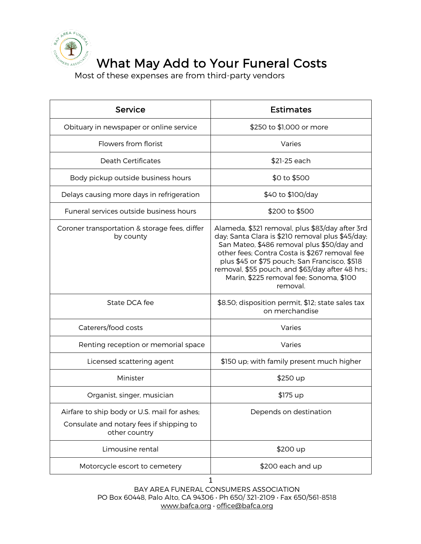

## What May Add to Your Funeral Costs

Most of these expenses are from third-party vendors

| Service                                                                                                   | <b>Estimates</b>                                                                                                                                                                                                                                                                                                                                               |
|-----------------------------------------------------------------------------------------------------------|----------------------------------------------------------------------------------------------------------------------------------------------------------------------------------------------------------------------------------------------------------------------------------------------------------------------------------------------------------------|
| Obituary in newspaper or online service                                                                   | \$250 to \$1,000 or more                                                                                                                                                                                                                                                                                                                                       |
| Flowers from florist                                                                                      | Varies                                                                                                                                                                                                                                                                                                                                                         |
| <b>Death Certificates</b>                                                                                 | \$21-25 each                                                                                                                                                                                                                                                                                                                                                   |
| Body pickup outside business hours                                                                        | \$0 to \$500                                                                                                                                                                                                                                                                                                                                                   |
| Delays causing more days in refrigeration                                                                 | \$40 to \$100/day                                                                                                                                                                                                                                                                                                                                              |
| Funeral services outside business hours                                                                   | \$200 to \$500                                                                                                                                                                                                                                                                                                                                                 |
| Coroner transportation & storage fees, differ<br>by county                                                | Alameda, \$321 removal, plus \$83/day after 3rd<br>day; Santa Clara is \$210 removal plus \$45/day;<br>San Mateo, \$486 removal plus \$50/day and<br>other fees; Contra Costa is \$267 removal fee<br>plus \$45 or \$75 pouch; San Francisco, \$518<br>removal, \$55 pouch, and \$63/day after 48 hrs.;<br>Marin, \$225 removal fee; Sonoma, \$100<br>removal. |
| State DCA fee                                                                                             | \$8.50; disposition permit, \$12; state sales tax<br>on merchandise                                                                                                                                                                                                                                                                                            |
| Caterers/food costs                                                                                       | Varies                                                                                                                                                                                                                                                                                                                                                         |
| Renting reception or memorial space                                                                       | Varies                                                                                                                                                                                                                                                                                                                                                         |
| Licensed scattering agent                                                                                 | \$150 up; with family present much higher                                                                                                                                                                                                                                                                                                                      |
| Minister                                                                                                  | \$250 up                                                                                                                                                                                                                                                                                                                                                       |
| Organist, singer, musician                                                                                | \$175 up                                                                                                                                                                                                                                                                                                                                                       |
| Airfare to ship body or U.S. mail for ashes;<br>Consulate and notary fees if shipping to<br>other country | Depends on destination                                                                                                                                                                                                                                                                                                                                         |
| Limousine rental                                                                                          | \$200 up                                                                                                                                                                                                                                                                                                                                                       |
| Motorcycle escort to cemetery                                                                             | \$200 each and up                                                                                                                                                                                                                                                                                                                                              |

BAY AREA FUNERAL CONSUMERS ASSOCIATION PO Box 60448, Palo Alto, CA 94306 • Ph 650/ 321-2109 • Fax 650/561-8518 www.bafca.org • office@bafca.org